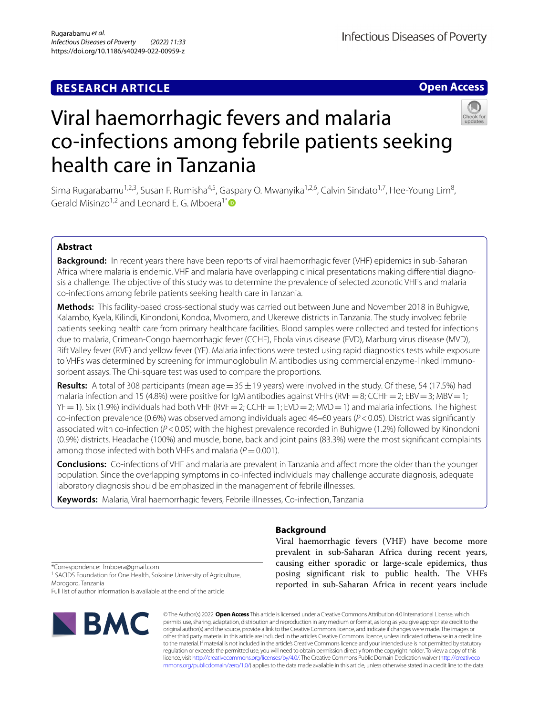## **RESEARCH ARTICLE**

**Open Access**



# Viral haemorrhagic fevers and malaria co-infections among febrile patients seeking health care in Tanzania

Sima Rugarabamu<sup>1,2,3</sup>, Susan F. Rumisha<sup>4,5</sup>, Gaspary O. Mwanyika<sup>1,2,6</sup>, Calvin Sindato<sup>1,7</sup>, Hee-Young Lim<sup>8</sup>, Gerald Misinzo<sup>1,2</sup> and Leonard E. G. Mboera<sup>1[\\*](http://orcid.org/0000-0001-5746-3776)</sup>

## **Abstract**

**Background:** In recent years there have been reports of viral haemorrhagic fever (VHF) epidemics in sub-Saharan Africa where malaria is endemic. VHF and malaria have overlapping clinical presentations making differential diagnosis a challenge. The objective of this study was to determine the prevalence of selected zoonotic VHFs and malaria co-infections among febrile patients seeking health care in Tanzania.

**Methods:** This facility-based cross-sectional study was carried out between June and November 2018 in Buhigwe, Kalambo, Kyela, Kilindi, Kinondoni, Kondoa, Mvomero, and Ukerewe districts in Tanzania. The study involved febrile patients seeking health care from primary healthcare facilities. Blood samples were collected and tested for infections due to malaria, Crimean-Congo haemorrhagic fever (CCHF), Ebola virus disease (EVD), Marburg virus disease (MVD), Rift Valley fever (RVF) and yellow fever (YF). Malaria infections were tested using rapid diagnostics tests while exposure to VHFs was determined by screening for immunoglobulin M antibodies using commercial enzyme-linked immunosorbent assays. The Chi-square test was used to compare the proportions.

**Results:** A total of 308 participants (mean age =  $35 \pm 19$  years) were involved in the study. Of these, 54 (17.5%) had malaria infection and 15 (4.8%) were positive for IgM antibodies against VHFs (RVF = 8; CCHF = 2; EBV = 3; MBV = 1;  $YF=1$ ). Six (1.9%) individuals had both VHF (RVF = 2; CCHF = 1; EVD = 2; MVD = 1) and malaria infections. The highest co-infection prevalence (0.6%) was observed among individuals aged 46–60 years ( $P < 0.05$ ). District was significantly associated with co-infection (*P*<0.05) with the highest prevalence recorded in Buhigwe (1.2%) followed by Kinondoni (0.9%) districts. Headache (100%) and muscle, bone, back and joint pains (83.3%) were the most signifcant complaints among those infected with both VHFs and malaria ( $P=0.001$ ).

**Conclusions:** Co-infections of VHF and malaria are prevalent in Tanzania and afect more the older than the younger population. Since the overlapping symptoms in co-infected individuals may challenge accurate diagnosis, adequate laboratory diagnosis should be emphasized in the management of febrile illnesses.

**Keywords:** Malaria, Viral haemorrhagic fevers, Febrile illnesses, Co-infection, Tanzania

## **Background**

Viral haemorrhagic fevers (VHF) have become more prevalent in sub-Saharan Africa during recent years, causing either sporadic or large-scale epidemics, thus posing significant risk to public health. The VHFs reported in sub-Saharan Africa in recent years include

\*Correspondence: lmboera@gmail.com

<sup>1</sup> SACIDS Foundation for One Health, Sokoine University of Agriculture, Morogoro, Tanzania

Full list of author information is available at the end of the article



© The Author(s) 2022. **Open Access** This article is licensed under a Creative Commons Attribution 4.0 International License, which permits use, sharing, adaptation, distribution and reproduction in any medium or format, as long as you give appropriate credit to the original author(s) and the source, provide a link to the Creative Commons licence, and indicate if changes were made. The images or other third party material in this article are included in the article's Creative Commons licence, unless indicated otherwise in a credit line to the material. If material is not included in the article's Creative Commons licence and your intended use is not permitted by statutory regulation or exceeds the permitted use, you will need to obtain permission directly from the copyright holder. To view a copy of this licence, visit [http://creativecommons.org/licenses/by/4.0/.](http://creativecommons.org/licenses/by/4.0/) The Creative Commons Public Domain Dedication waiver ([http://creativeco](http://creativecommons.org/publicdomain/zero/1.0/) [mmons.org/publicdomain/zero/1.0/](http://creativecommons.org/publicdomain/zero/1.0/)) applies to the data made available in this article, unless otherwise stated in a credit line to the data.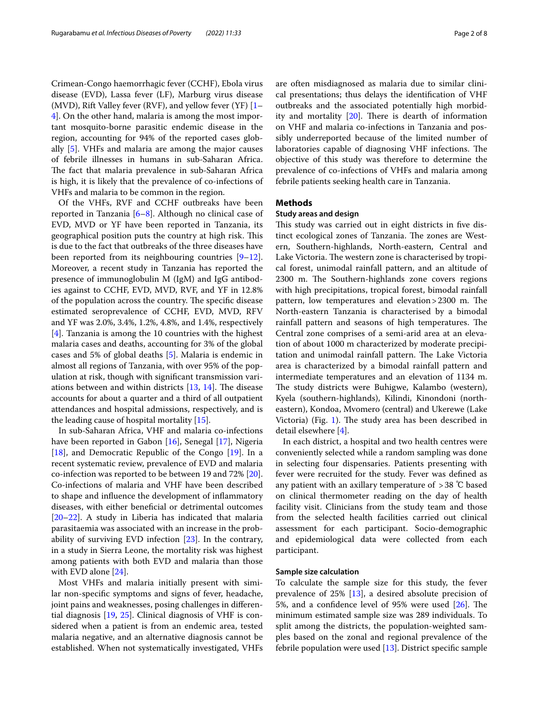Crimean-Congo haemorrhagic fever (CCHF), Ebola virus disease (EVD), Lassa fever (LF), Marburg virus disease (MVD), Rift Valley fever (RVF), and yellow fever (YF) [[1–](#page-6-0) [4\]](#page-6-1). On the other hand, malaria is among the most important mosquito-borne parasitic endemic disease in the region, accounting for 94% of the reported cases globally [[5\]](#page-6-2). VHFs and malaria are among the major causes of febrile illnesses in humans in sub-Saharan Africa. The fact that malaria prevalence in sub-Saharan Africa is high, it is likely that the prevalence of co-infections of VHFs and malaria to be common in the region.

Of the VHFs, RVF and CCHF outbreaks have been reported in Tanzania [[6–](#page-6-3)[8\]](#page-6-4). Although no clinical case of EVD, MVD or YF have been reported in Tanzania, its geographical position puts the country at high risk. This is due to the fact that outbreaks of the three diseases have been reported from its neighbouring countries [\[9](#page-6-5)[–12](#page-6-6)]. Moreover, a recent study in Tanzania has reported the presence of immunoglobulin M (IgM) and IgG antibodies against to CCHF, EVD, MVD, RVF, and YF in 12.8% of the population across the country. The specific disease estimated seroprevalence of CCHF, EVD, MVD, RFV and YF was 2.0%, 3.4%, 1.2%, 4.8%, and 1.4%, respectively [[4\]](#page-6-1). Tanzania is among the 10 countries with the highest malaria cases and deaths, accounting for 3% of the global cases and 5% of global deaths [\[5](#page-6-2)]. Malaria is endemic in almost all regions of Tanzania, with over 95% of the population at risk, though with signifcant transmission variations between and within districts  $[13, 14]$  $[13, 14]$  $[13, 14]$  $[13, 14]$ . The disease accounts for about a quarter and a third of all outpatient attendances and hospital admissions, respectively, and is the leading cause of hospital mortality [[15](#page-7-1)].

In sub-Saharan Africa, VHF and malaria co-infections have been reported in Gabon [[16\]](#page-7-2), Senegal [[17\]](#page-7-3), Nigeria [[18\]](#page-7-4), and Democratic Republic of the Congo [\[19\]](#page-7-5). In a recent systematic review, prevalence of EVD and malaria co-infection was reported to be between 19 and 72% [\[20](#page-7-6)]. Co-infections of malaria and VHF have been described to shape and infuence the development of infammatory diseases, with either benefcial or detrimental outcomes [[20–](#page-7-6)[22](#page-7-7)]. A study in Liberia has indicated that malaria parasitaemia was associated with an increase in the probability of surviving EVD infection [[23\]](#page-7-8). In the contrary, in a study in Sierra Leone, the mortality risk was highest among patients with both EVD and malaria than those with EVD alone [[24\]](#page-7-9).

Most VHFs and malaria initially present with similar non-specifc symptoms and signs of fever, headache, joint pains and weaknesses, posing challenges in diferential diagnosis [[19](#page-7-5), [25\]](#page-7-10). Clinical diagnosis of VHF is considered when a patient is from an endemic area, tested malaria negative, and an alternative diagnosis cannot be established. When not systematically investigated, VHFs are often misdiagnosed as malaria due to similar clinical presentations; thus delays the identifcation of VHF outbreaks and the associated potentially high morbidity and mortality  $[20]$  $[20]$ . There is dearth of information on VHF and malaria co-infections in Tanzania and possibly underreported because of the limited number of laboratories capable of diagnosing VHF infections. The objective of this study was therefore to determine the prevalence of co-infections of VHFs and malaria among febrile patients seeking health care in Tanzania.

## **Methods**

#### **Study areas and design**

This study was carried out in eight districts in five distinct ecological zones of Tanzania. The zones are Western, Southern-highlands, North-eastern, Central and Lake Victoria. The western zone is characterised by tropical forest, unimodal rainfall pattern, and an altitude of 2300 m. The Southern-highlands zone covers regions with high precipitations, tropical forest, bimodal rainfall pattern, low temperatures and elevation > 2300 m. The North-eastern Tanzania is characterised by a bimodal rainfall pattern and seasons of high temperatures. The Central zone comprises of a semi-arid area at an elevation of about 1000 m characterized by moderate precipitation and unimodal rainfall pattern. The Lake Victoria area is characterized by a bimodal rainfall pattern and intermediate temperatures and an elevation of 1134 m. The study districts were Buhigwe, Kalambo (western), Kyela (southern-highlands), Kilindi, Kinondoni (northeastern), Kondoa, Mvomero (central) and Ukerewe (Lake Victoria) (Fig. [1](#page-2-0)). The study area has been described in detail elsewhere [[4\]](#page-6-1).

In each district, a hospital and two health centres were conveniently selected while a random sampling was done in selecting four dispensaries. Patients presenting with fever were recruited for the study. Fever was defned as any patient with an axillary temperature of >38 ℃ based on clinical thermometer reading on the day of health facility visit. Clinicians from the study team and those from the selected health facilities carried out clinical assessment for each participant. Socio-demographic and epidemiological data were collected from each participant.

#### **Sample size calculation**

To calculate the sample size for this study, the fever prevalence of 25% [[13\]](#page-6-7), a desired absolute precision of 5%, and a confidence level of 95% were used  $[26]$  $[26]$ . The minimum estimated sample size was 289 individuals. To split among the districts, the population-weighted samples based on the zonal and regional prevalence of the febrile population were used [\[13\]](#page-6-7). District specifc sample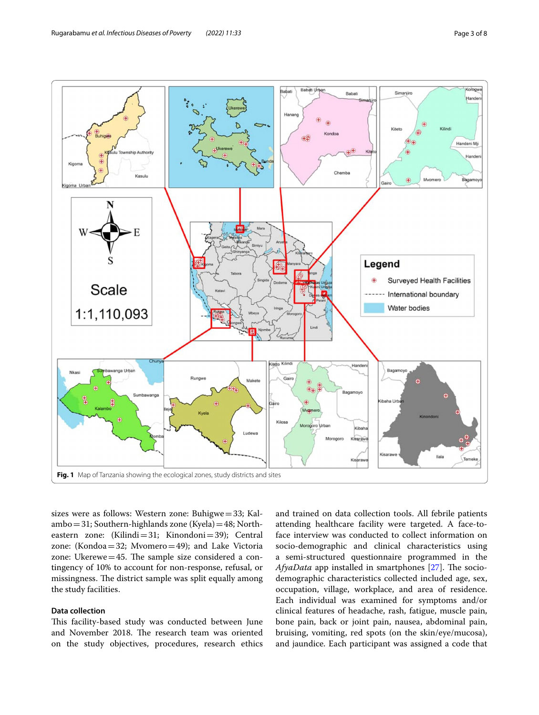

<span id="page-2-0"></span>sizes were as follows: Western zone: Buhigwe=33; Kalambo=31; Southern-highlands zone (Kyela)=48; Northeastern zone: (Kilindi=31; Kinondoni=39); Central zone: (Kondoa=32; Mvomero=49); and Lake Victoria zone: Ukerewe $=45$ . The sample size considered a contingency of 10% to account for non-response, refusal, or missingness. The district sample was split equally among the study facilities.

## **Data collection**

This facility-based study was conducted between June and November 2018. The research team was oriented on the study objectives, procedures, research ethics and trained on data collection tools. All febrile patients attending healthcare facility were targeted. A face-toface interview was conducted to collect information on socio-demographic and clinical characteristics using a semi-structured questionnaire programmed in the *AfyaData* app installed in smartphones [\[27\]](#page-7-12). The sociodemographic characteristics collected included age, sex, occupation, village, workplace, and area of residence. Each individual was examined for symptoms and/or clinical features of headache, rash, fatigue, muscle pain, bone pain, back or joint pain, nausea, abdominal pain, bruising, vomiting, red spots (on the skin/eye/mucosa), and jaundice. Each participant was assigned a code that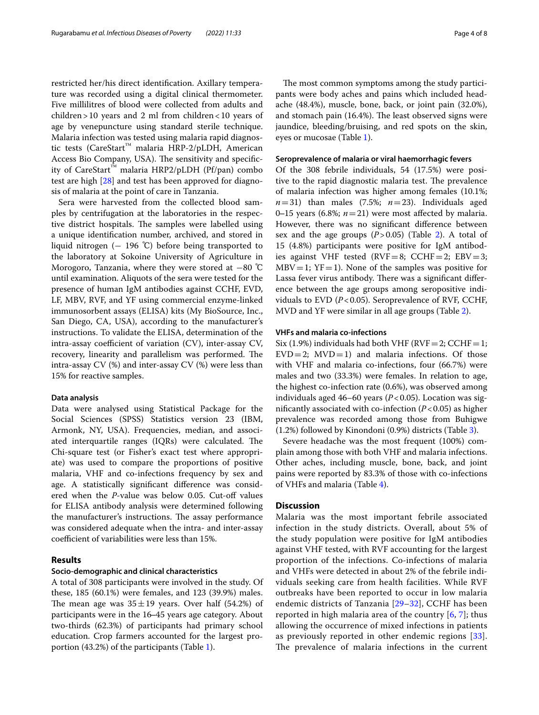restricted her/his direct identifcation. Axillary temperature was recorded using a digital clinical thermometer. Five millilitres of blood were collected from adults and children > 10 years and 2 ml from children < 10 years of age by venepuncture using standard sterile technique. Malaria infection was tested using malaria rapid diagnostic tests (CareStart™ malaria HRP-2/pLDH, American Access Bio Company, USA). The sensitivity and specificity of CareStart™ malaria HRP2/pLDH (Pf/pan) combo test are high [[28](#page-7-13)] and test has been approved for diagnosis of malaria at the point of care in Tanzania.

Sera were harvested from the collected blood samples by centrifugation at the laboratories in the respective district hospitals. The samples were labelled using a unique identifcation number, archived, and stored in liquid nitrogen (− 196 ℃) before being transported to the laboratory at Sokoine University of Agriculture in Morogoro, Tanzania, where they were stored at −80 ℃ until examination. Aliquots of the sera were tested for the presence of human IgM antibodies against CCHF, EVD, LF, MBV, RVF, and YF using commercial enzyme-linked immunosorbent assays (ELISA) kits (My BioSource, Inc., San Diego, CA, USA), according to the manufacturer's instructions. To validate the ELISA, determination of the  $intra$ -assay coefficient of variation (CV), inter-assay CV, recovery, linearity and parallelism was performed. The intra-assay CV (%) and inter-assay CV (%) were less than 15% for reactive samples.

#### **Data analysis**

Data were analysed using Statistical Package for the Social Sciences (SPSS) Statistics version 23 (IBM, Armonk, NY, USA). Frequencies, median, and associated interquartile ranges  $(IQRs)$  were calculated. The Chi-square test (or Fisher's exact test where appropriate) was used to compare the proportions of positive malaria, VHF and co-infections frequency by sex and age. A statistically signifcant diference was considered when the *P*-value was below 0.05. Cut-off values for ELISA antibody analysis were determined following the manufacturer's instructions. The assay performance was considered adequate when the intra- and inter-assay coefficient of variabilities were less than 15%.

#### **Results**

#### **Socio‑demographic and clinical characteristics**

A total of 308 participants were involved in the study. Of these, 185 (60.1%) were females, and 123 (39.9%) males. The mean age was  $35 \pm 19$  years. Over half (54.2%) of participants were in the 16–45 years age category. About two-thirds (62.3%) of participants had primary school education. Crop farmers accounted for the largest proportion (43.2%) of the participants (Table [1](#page-4-0)).

The most common symptoms among the study participants were body aches and pains which included headache (48.4%), muscle, bone, back, or joint pain (32.0%), and stomach pain (16.4%). The least observed signs were jaundice, bleeding/bruising, and red spots on the skin, eyes or mucosae (Table [1\)](#page-4-0).

#### **Seroprevalence of malaria or viral haemorrhagic fevers**

Of the 308 febrile individuals, 54 (17.5%) were positive to the rapid diagnostic malaria test. The prevalence of malaria infection was higher among females (10.1%;  $n=31$ ) than males (7.5%;  $n=23$ ). Individuals aged 0–15 years (6.8%;  $n=21$ ) were most affected by malaria. However, there was no signifcant diference between sex and the age groups  $(P>0.05)$  (Table [2](#page-4-1)). A total of 15 (4.8%) participants were positive for IgM antibodies against VHF tested ( $RVF=8$ ; CCHF = 2;  $EBV=3$ ;  $MBV=1$ ;  $YF=1$ ). None of the samples was positive for Lassa fever virus antibody. There was a significant difference between the age groups among seropositive individuals to EVD (*P*<0.05). Seroprevalence of RVF, CCHF, MVD and YF were similar in all age groups (Table [2](#page-4-1)).

#### **VHFs and malaria co‑infections**

Six (1.9%) individuals had both VHF ( $RVF = 2$ ; CCHF = 1;  $EVD=2$ ;  $MVD=1$ ) and malaria infections. Of those with VHF and malaria co-infections, four (66.7%) were males and two (33.3%) were females. In relation to age, the highest co-infection rate (0.6%), was observed among individuals aged 46–60 years (*P*<0.05). Location was significantly associated with co-infection  $(P<0.05)$  as higher prevalence was recorded among those from Buhigwe (1.2%) followed by Kinondoni (0.9%) districts (Table [3\)](#page-5-0).

Severe headache was the most frequent (100%) complain among those with both VHF and malaria infections. Other aches, including muscle, bone, back, and joint pains were reported by 83.3% of those with co-infections of VHFs and malaria (Table [4](#page-5-1)).

### **Discussion**

Malaria was the most important febrile associated infection in the study districts. Overall, about 5% of the study population were positive for IgM antibodies against VHF tested, with RVF accounting for the largest proportion of the infections. Co-infections of malaria and VHFs were detected in about 2% of the febrile individuals seeking care from health facilities. While RVF outbreaks have been reported to occur in low malaria endemic districts of Tanzania [\[29–](#page-7-14)[32\]](#page-7-15), CCHF has been reported in high malaria area of the country [[6](#page-6-3), [7](#page-6-8)]; thus allowing the occurrence of mixed infections in patients as previously reported in other endemic regions [[33](#page-7-16)]. The prevalence of malaria infections in the current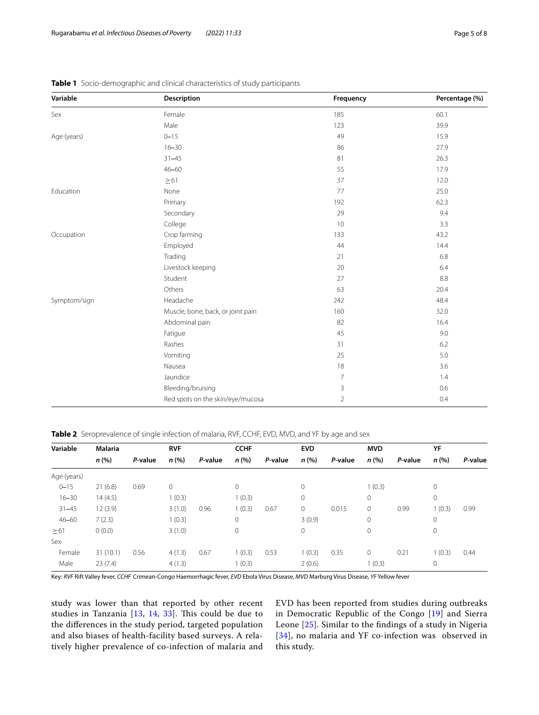| Variable     | Description                       | Frequency      | Percentage (%) |
|--------------|-----------------------------------|----------------|----------------|
| Sex          | Female                            | 185            | 60.1           |
|              | Male                              | 123            | 39.9           |
| Age (years)  | $0 - 15$                          | 49             | 15.9           |
|              | $16 - 30$                         | 86             | 27.9           |
|              | $31 - 45$                         | 81             | 26.3           |
|              | $46 - 60$                         | 55             | 17.9           |
|              | $\geq 61$                         | 37             | 12.0           |
| Education    | None                              | 77             | 25.0           |
|              | Primary                           | 192            | 62.3           |
|              | Secondary                         | 29             | 9.4            |
|              | College                           | 10             | 3.3            |
| Occupation   | Crop farming                      | 133            | 43.2           |
|              | Employed                          | 44             | 14.4           |
|              | Trading                           | 21             | 6.8            |
|              | Livestock keeping                 | 20             | 6.4            |
|              | Student                           | 27             | 8.8            |
|              | Others                            | 63             | 20.4           |
| Symptom/sign | Headache                          | 242            | 48.4           |
|              | Muscle, bone, back, or joint pain | 160            | 32.0           |
|              | Abdominal pain                    | 82             | 16.4           |
|              | Fatigue                           | 45             | 9.0            |
|              | Rashes                            | 31             | 6.2            |
|              | Vomiting                          | 25             | 5.0            |
|              | Nausea                            | 18             | 3.6            |
|              | Jaundice                          | $\overline{7}$ | 1.4            |
|              | Bleeding/bruising                 | 3              | 0.6            |
|              | Red spots on the skin/eye/mucosa  | $\overline{2}$ | 0.4            |

<span id="page-4-0"></span>**Table 1** Socio-demographic and clinical characteristics of study participants

<span id="page-4-1"></span>**Table 2** Seroprevalence of single infection of malaria, RVF, CCHF, EVD, MVD, and YF by age and sex

| Variable    | <b>Malaria</b> |         | <b>RVF</b> |         | <b>CCHF</b> |         | <b>EVD</b>   |         | <b>MVD</b>  |         | YF           |         |
|-------------|----------------|---------|------------|---------|-------------|---------|--------------|---------|-------------|---------|--------------|---------|
|             | n(%)           | P-value | n(%)       | P-value | n(% )       | P-value | n(%)         | P-value | n(%)        | P-value | n(%)         | P-value |
| Age (years) |                |         |            |         |             |         |              |         |             |         |              |         |
| $0 - 15$    | 21(6.8)        | 0.69    | 0          |         | 0           |         | $\mathbf{0}$ |         | 1(0.3)      |         | 0            |         |
| $16 - 30$   | 14(4.5)        |         | 1(0.3)     |         | 1(0.3)      |         | $\mathbf{0}$ |         | 0           |         | $\circ$      |         |
| $31 - 45$   | 12(3.9)        |         | 3(1.0)     | 0.96    | 1(0.3)      | 0.67    | $\circ$      | 0.015   | $\mathbf 0$ | 0.99    | 1(0.3)       | 0.99    |
| $46 - 60$   | 7(2.3)         |         | 1(0.3)     |         | 0           |         | 3(0.9)       |         | $\mathbf 0$ |         | $\mathbf{0}$ |         |
| $\geq 61$   | 0(0.0)         |         | 3(1.0)     |         | 0           |         | $\mathbf{0}$ |         | $\mathbf 0$ |         | $\mathbf{0}$ |         |
| Sex         |                |         |            |         |             |         |              |         |             |         |              |         |
| Female      | 31(10.1)       | 0.56    | 4(1.3)     | 0.67    | 1(0.3)      | 0.53    | 1(0.3)       | 0.35    | $\mathbf 0$ | 0.21    | 1(0.3)       | 0.44    |
| Male        | 23(7.4)        |         | 4(1.3)     |         | 1(0.3)      |         | 2(0.6)       |         | 1(0.3)      |         | 0            |         |

Key: *RVF* Rift Valley fever, *CCHF* Crimean-Congo Haemorrhagic fever, *EVD* Ebola Virus Disease, *MVD* Marburg Virus Disease, *YF* Yellow fever

study was lower than that reported by other recent studies in Tanzania  $[13, 14, 33]$  $[13, 14, 33]$  $[13, 14, 33]$  $[13, 14, 33]$  $[13, 14, 33]$  $[13, 14, 33]$  $[13, 14, 33]$ . This could be due to the diferences in the study period, targeted population and also biases of health-facility based surveys. A relatively higher prevalence of co-infection of malaria and EVD has been reported from studies during outbreaks in Democratic Republic of the Congo [[19\]](#page-7-5) and Sierra Leone [[25\]](#page-7-10). Similar to the fndings of a study in Nigeria [[34](#page-7-17)], no malaria and YF co-infection was observed in this study.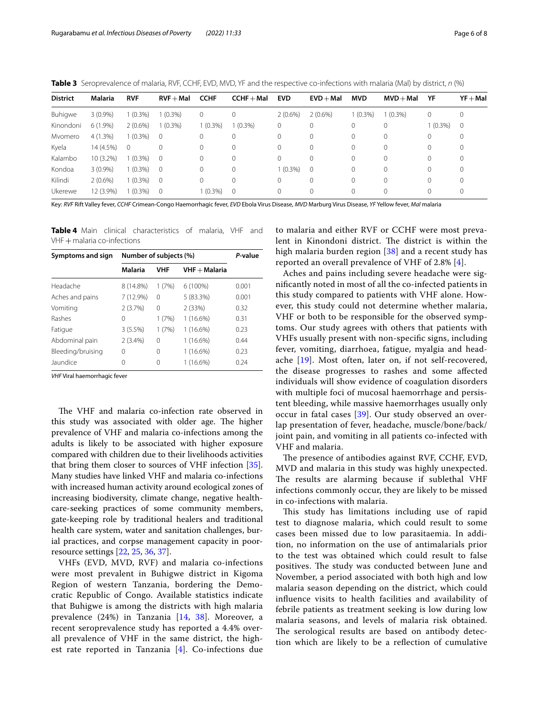<span id="page-5-0"></span>**Table 3** Seroprevalence of malaria, RVF, CCHF, EVD, MVD, YF and the respective co-infections with malaria (Mal) by district, *n* (%)

| <b>District</b> | Malaria    | <b>RVF</b> | $RVF + Mal$    | <b>CCHF</b> | $CCHF + Mal$ | <b>EVD</b> | $EVD + Mal$ | <b>MVD</b>   | $MVD + Mal$ | YF         | $YF + Mal$   |
|-----------------|------------|------------|----------------|-------------|--------------|------------|-------------|--------------|-------------|------------|--------------|
| Buhigwe         | $3(0.9\%)$ | $1(0.3\%)$ | $1(0.3\%)$     | 0           | $\Omega$     | $2(0.6\%)$ | $2(0.6\%)$  | $1(0.3\%)$   | $(0.3\%)$   | 0          | $\mathbf{0}$ |
| Kinondoni       | $6(1.9\%)$ | $2(0.6\%)$ | $1(0.3\%)$     | $1(0.3\%)$  | $(0.3\%)$    | 0          | 0           | 0            | 0           | $1(0.3\%)$ | 0            |
| Mvomero         | 4(1.3%)    | $1(0.3\%)$ | $\overline{0}$ |             | $\mathbf{0}$ | 0          | 0           | 0            | 0           | 0          | 0            |
| Kyela           | 14 (4.5%)  | $\Omega$   | $\Omega$       | $\Omega$    | $\Omega$     | 0          | $\Omega$    | 0            | 0           | $\Omega$   | 0            |
| Kalambo         | 10 (3.2%)  | $1(0.3\%)$ | $\overline{0}$ | $\Omega$    | $\mathbf{0}$ | 0          | $\Omega$    | 0            | $\mathbf 0$ | 0          | 0            |
| Kondoa          | $3(0.9\%)$ | $1(0.3\%)$ | $\bigcirc$     | $\Omega$    | $\Omega$     | $1(0.3\%)$ | $\Omega$    | $\Omega$     | $\Omega$    | $\Omega$   | $\mathbf 0$  |
| Kilindi         | $2(0.6\%)$ | 1 (0.3%)   | $\overline{0}$ | $\Omega$    | $\Omega$     | 0          | 0           | $\Omega$     | $\Omega$    | $\Omega$   | $\circ$      |
| Ukerewe         | 12 (3.9%)  | 1 (0.3%)   | $\overline{0}$ | $1(0.3\%)$  | $\circ$      | 0          | 0           | $\mathbf{0}$ | $\mathbf 0$ | $\Omega$   | $\circ$      |

Key: *RVF* Rift Valley fever, *CCHF* Crimean-Congo Haemorrhagic fever, *EVD* Ebola Virus Disease, *MVD* Marburg Virus Disease, *YF* Yellow fever, *Mal* malaria

<span id="page-5-1"></span>**Table 4** Main clinical characteristics of malaria, VHF and VHF + malaria co-infections

| Symptoms and sign | Number of subjects (%) | P-value    |                 |       |  |
|-------------------|------------------------|------------|-----------------|-------|--|
|                   | <b>Malaria</b>         | <b>VHF</b> | $VHF + Malaria$ |       |  |
| Headache          | 8 (14.8%)              | 1(7%)      | $6(100\%)$      | 0.001 |  |
| Aches and pains   | 7 (12.9%)              | $\Omega$   | 5 (83.3%)       | 0.001 |  |
| Vomiting          | 2(3.7%)                | 0          | 2(33%)          | 0.32  |  |
| Rashes            | 0                      | 1 (7%)     | $1(16.6\%)$     | 0.31  |  |
| Fatigue           | 3(5.5%)                | 1(7%)      | $1(16.6\%)$     | 0.23  |  |
| Abdominal pain    | $2(3.4\%)$             | 0          | $1(16.6\%)$     | 0.44  |  |
| Bleeding/bruising | 0                      | 0          | 1 (16.6%)       | 0.23  |  |
| Jaundice          | 0                      | 0          | 1 (16.6%)       | 0.24  |  |

*VHF* Viral haemorrhagic fever

The VHF and malaria co-infection rate observed in this study was associated with older age. The higher prevalence of VHF and malaria co-infections among the adults is likely to be associated with higher exposure compared with children due to their livelihoods activities that bring them closer to sources of VHF infection [\[35](#page-7-18)]. Many studies have linked VHF and malaria co-infections with increased human activity around ecological zones of increasing biodiversity, climate change, negative healthcare-seeking practices of some community members, gate-keeping role by traditional healers and traditional health care system, water and sanitation challenges, burial practices, and corpse management capacity in poorresource settings [\[22,](#page-7-7) [25](#page-7-10), [36,](#page-7-19) [37\]](#page-7-20).

VHFs (EVD, MVD, RVF) and malaria co-infections were most prevalent in Buhigwe district in Kigoma Region of western Tanzania, bordering the Democratic Republic of Congo. Available statistics indicate that Buhigwe is among the districts with high malaria prevalence (24%) in Tanzania [[14](#page-7-0), [38](#page-7-21)]. Moreover, a recent seroprevalence study has reported a 4.4% overall prevalence of VHF in the same district, the highest rate reported in Tanzania  $[4]$  $[4]$ . Co-infections due to malaria and either RVF or CCHF were most prevalent in Kinondoni district. The district is within the high malaria burden region [\[38](#page-7-21)] and a recent study has reported an overall prevalence of VHF of 2.8% [[4\]](#page-6-1).

Aches and pains including severe headache were signifcantly noted in most of all the co-infected patients in this study compared to patients with VHF alone. However, this study could not determine whether malaria, VHF or both to be responsible for the observed symptoms. Our study agrees with others that patients with VHFs usually present with non-specifc signs, including fever, vomiting, diarrhoea, fatigue, myalgia and headache [[19\]](#page-7-5). Most often, later on, if not self-recovered, the disease progresses to rashes and some afected individuals will show evidence of coagulation disorders with multiple foci of mucosal haemorrhage and persistent bleeding, while massive haemorrhages usually only occur in fatal cases [[39\]](#page-7-22). Our study observed an overlap presentation of fever, headache, muscle/bone/back/ joint pain, and vomiting in all patients co-infected with VHF and malaria.

The presence of antibodies against RVF, CCHF, EVD, MVD and malaria in this study was highly unexpected. The results are alarming because if sublethal VHF infections commonly occur, they are likely to be missed in co-infections with malaria.

This study has limitations including use of rapid test to diagnose malaria, which could result to some cases been missed due to low parasitaemia. In addition, no information on the use of antimalarials prior to the test was obtained which could result to false positives. The study was conducted between June and November, a period associated with both high and low malaria season depending on the district, which could infuence visits to health facilities and availability of febrile patients as treatment seeking is low during low malaria seasons, and levels of malaria risk obtained. The serological results are based on antibody detection which are likely to be a refection of cumulative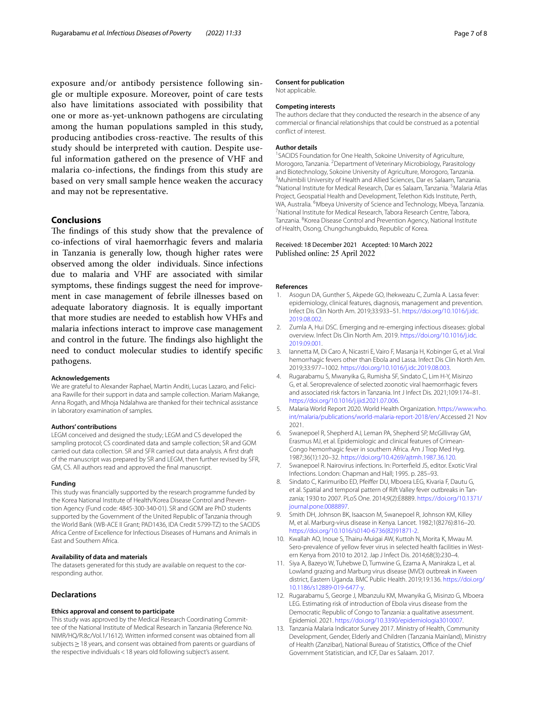exposure and/or antibody persistence following single or multiple exposure. Moreover, point of care tests also have limitations associated with possibility that one or more as-yet-unknown pathogens are circulating among the human populations sampled in this study, producing antibodies cross-reactive. The results of this study should be interpreted with caution. Despite useful information gathered on the presence of VHF and malaria co-infections, the fndings from this study are based on very small sample hence weaken the accuracy and may not be representative.

## **Conclusions**

The findings of this study show that the prevalence of co-infections of viral haemorrhagic fevers and malaria in Tanzania is generally low, though higher rates were observed among the older individuals. Since infections due to malaria and VHF are associated with similar symptoms, these fndings suggest the need for improvement in case management of febrile illnesses based on adequate laboratory diagnosis. It is equally important that more studies are needed to establish how VHFs and malaria infections interact to improve case management and control in the future. The findings also highlight the need to conduct molecular studies to identify specifc pathogens.

#### **Acknowledgements**

We are grateful to Alexander Raphael, Martin Anditi, Lucas Lazaro, and Feliciana Rawille for their support in data and sample collection. Mariam Makange, Anna Rogath, and Mhoja Ndalahwa are thanked for their technical assistance in laboratory examination of samples.

#### **Authors' contributions**

LEGM conceived and designed the study; LEGM and CS developed the sampling protocol; CS coordinated data and sample collection; SR and GOM carried out data collection. SR and SFR carried out data analysis. A frst draft of the manuscript was prepared by SR and LEGM, then further revised by SFR, GM, CS. All authors read and approved the fnal manuscript.

#### **Funding**

This study was fnancially supported by the research programme funded by the Korea National Institute of Health/Korea Disease Control and Prevention Agency (Fund code: 4845-300-340-01). SR and GOM are PhD students supported by the Government of the United Republic of Tanzania through the World Bank (WB-ACE II Grant; PAD1436, IDA Credit 5799-TZ) to the SACIDS Africa Centre of Excellence for Infectious Diseases of Humans and Animals in East and Southern Africa.

#### **Availability of data and materials**

The datasets generated for this study are available on request to the corresponding author.

#### **Declarations**

#### **Ethics approval and consent to participate**

This study was approved by the Medical Research Coordinating Committee of the National Institute of Medical Research in Tanzania (Reference No. NIMR/HQ/R.8c/Vol.1/1612). Written informed consent was obtained from all subjects > 18 years, and consent was obtained from parents or quardians of the respective individuals<18 years old following subject's assent.

#### **Consent for publication**

Not applicable.

#### **Competing interests**

The authors declare that they conducted the research in the absence of any commercial or fnancial relationships that could be construed as a potential confict of interest.

#### **Author details**

<sup>1</sup> SACIDS Foundation for One Health, Sokoine University of Agriculture, Morogoro, Tanzania. <sup>2</sup> Department of Veterinary Microbiology, Parasitology and Biotechnology, Sokoine University of Agriculture, Morogoro, Tanzania. <sup>3</sup> Muhimbili University of Health and Allied Sciences, Dar es Salaam, Tanzania. National Institute for Medical Research, Dar es Salaam, Tanzania. <sup>5</sup>Malaria Atlas Project, Geospatial Health and Development, Telethon Kids Institute, Perth, WA, Australia. <sup>6</sup>Mbeya University of Science and Technology, Mbeya, Tanzania.<br><sup>7</sup>National Institute for Medical Research Jabora Besearch Centre Jabora. National Institute for Medical Research, Tabora Research Centre, Tabora, Tanzania. <sup>8</sup> Korea Disease Control and Prevention Agency, National Institute of Health, Osong, Chungchungbukdo, Republic of Korea.

#### Received: 18 December 2021 Accepted: 10 March 2022 Published online: 25 April 2022

#### **References**

- <span id="page-6-0"></span>Asogun DA, Gunther S, Akpede GO, Ihekweazu C, Zumla A. Lassa fever: epidemiology, clinical features, diagnosis, management and prevention. Infect Dis Clin North Am. 2019;33:933–51. [https://doi.org/10.1016/j.idc.](https://doi.org/10.1016/j.idc.2019.08.002) [2019.08.002](https://doi.org/10.1016/j.idc.2019.08.002).
- 2. Zumla A, Hui DSC. Emerging and re-emerging infectious diseases: global overview. Infect Dis Clin North Am. 2019. [https://doi.org/10.1016/j.idc.](https://doi.org/10.1016/j.idc.2019.09.001) [2019.09.001](https://doi.org/10.1016/j.idc.2019.09.001).
- 3. Iannetta M, Di Caro A, Nicastri E, Vairo F, Masanja H, Kobinger G, et al. Viral hemorrhagic fevers other than Ebola and Lassa. Infect Dis Clin North Am. 2019;33:977–1002. <https://doi.org/10.1016/j.idc.2019.08.003>.
- <span id="page-6-1"></span>4. Rugarabamu S, Mwanyika G, Rumisha SF, Sindato C, Lim H-Y, Misinzo G, et al. Seroprevalence of selected zoonotic viral haemorrhagic fevers and associated risk factors in Tanzania. Int J Infect Dis. 2021;109:174–81. [https://doi.org/10.1016/j.ijid.2021.07.006.](https://doi.org/10.1016/j.ijid.2021.07.006)
- <span id="page-6-2"></span>5. Malaria World Report 2020. World Health Organization. [https://www.who.](https://www.who.int/malaria/publications/world-malaria-report-2018/en/) [int/malaria/publications/world-malaria-report-2018/en/](https://www.who.int/malaria/publications/world-malaria-report-2018/en/).Accessed 21 Nov 2021.
- <span id="page-6-3"></span>6. Swanepoel R, Shepherd AJ, Leman PA, Shepherd SP, McGillivray GM, Erasmus MJ, et al. Epidemiologic and clinical features of Crimean-Congo hemorrhagic fever in southern Africa. Am J Trop Med Hyg. 1987;36(1):120–32. <https://doi.org/10.4269/ajtmh.1987.36.120>.
- <span id="page-6-8"></span>7. Swanepoel R. Nairovirus infections. In: Porterfeld JS, editor. Exotic Viral Infections. London: Chapman and Hall; 1995. p. 285–93.
- <span id="page-6-4"></span>8. Sindato C, Karimuribo ED, Pfeifer DU, Mboera LEG, Kivaria F, Dautu G, et al. Spatial and temporal pattern of Rift Valley fever outbreaks in Tanzania; 1930 to 2007. PLoS One. 2014;9(2):E8889. [https://doi.org/10.1371/](https://doi.org/10.1371/journal.pone.0088897) [journal.pone.0088897](https://doi.org/10.1371/journal.pone.0088897).
- <span id="page-6-5"></span>9. Smith DH, Johnson BK, Isaacson M, Swanepoel R, Johnson KM, Killey M, et al. Marburg-virus disease in Kenya. Lancet. 1982;1(8276):816–20. [https://doi.org/10.1016/s0140-6736\(82\)91871-2](https://doi.org/10.1016/s0140-6736(82)91871-2).
- 10. Kwallah AO, Inoue S, Thairu-Muigai AW, Kuttoh N, Morita K, Mwau M. Sero-prevalence of yellow fever virus in selected health facilities in Western Kenya from 2010 to 2012. Jap J Infect Dis. 2014;68(3):230–4.
- 11. Siya A, Bazeyo W, Tuhebwe D, Tumwine G, Ezama A, Manirakza L, et al. Lowland grazing and Marburg virus disease (MVD) outbreak in Kween district, Eastern Uganda. BMC Public Health. 2019;19:136. [https://doi.org/](https://doi.org/10.1186/s12889-019-6477-y) [10.1186/s12889-019-6477-y](https://doi.org/10.1186/s12889-019-6477-y).
- <span id="page-6-6"></span>12. Rugarabamu S, George J, Mbanzulu KM, Mwanyika G, Misinzo G, Mboera LEG. Estimating risk of introduction of Ebola virus disease from the Democratic Republic of Congo to Tanzania: a qualitative assessment. Epidemiol. 2021.<https://doi.org/10.3390/epidemiologia3010007>.
- <span id="page-6-7"></span>13. Tanzania Malaria Indicator Survey 2017. Ministry of Health, Community Development, Gender, Elderly and Children (Tanzania Mainland), Ministry of Health (Zanzibar), National Bureau of Statistics, Office of the Chief Government Statistician, and ICF, Dar es Salaam. 2017.